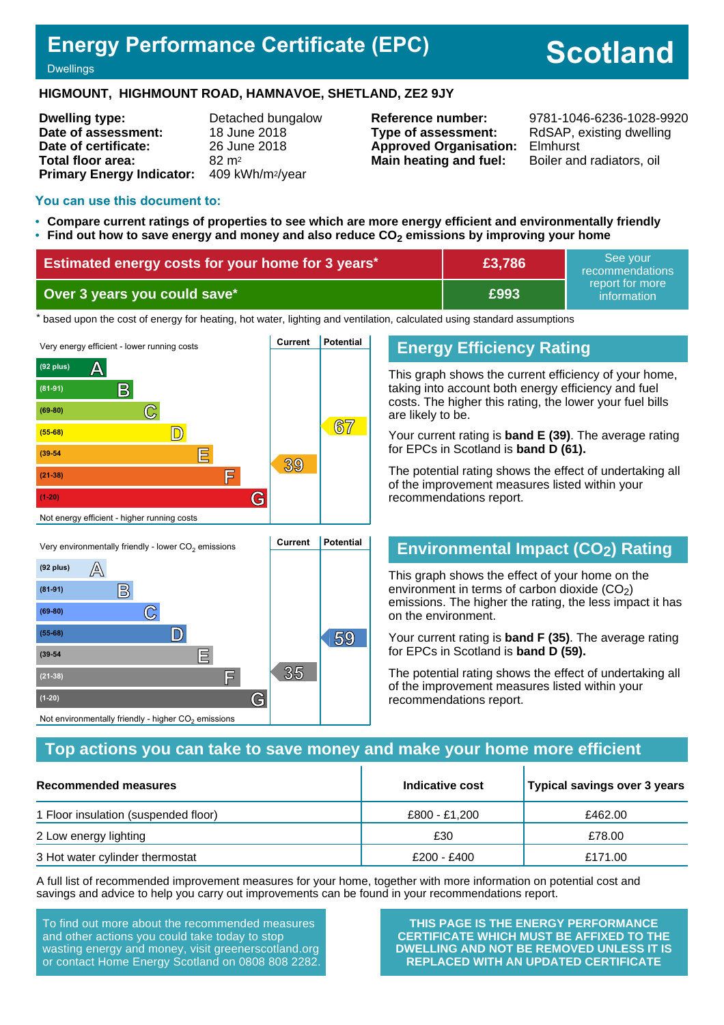# **Energy Performance Certificate (EPC)**

# **Scotland**

#### **Dwellings**

#### **HIGMOUNT, HIGHMOUNT ROAD, HAMNAVOE, SHETLAND, ZE2 9JY**

| <b>Dwelling type:</b>                     | Detached bungalow |
|-------------------------------------------|-------------------|
| Date of assessment:                       | 18 June 2018      |
| Date of certificate:                      | 26 June 2018      |
| Total floor area:                         | $82 \text{ m}^2$  |
| Primary Energy Indicator: 409 kWh/m2/year |                   |

**Type of assessment:** RdSAP, existing dwelling **Approved Organisation:** Elmhurst **Main heating and fuel:** Boiler and radiators, oil

**Reference number:** 9781-1046-6236-1028-9920

#### **You can use this document to:**

- **Compare current ratings of properties to see which are more energy efficient and environmentally friendly**
- **Find out how to save energy and money and also reduce CO2 emissions by improving your home**

| Estimated energy costs for your home for 3 years* | £3,786 | See vour<br>recommendations                 |
|---------------------------------------------------|--------|---------------------------------------------|
| Over 3 years you could save*                      | £993   | report for more<br>information <sup>1</sup> |

the based upon the cost of energy for heating, hot water, lighting and ventilation, calculated using standard assumptions



# **Energy Efficiency Rating**

This graph shows the current efficiency of your home, taking into account both energy efficiency and fuel costs. The higher this rating, the lower your fuel bills are likely to be.

Your current rating is **band E (39)**. The average rating for EPCs in Scotland is **band D (61).**

The potential rating shows the effect of undertaking all of the improvement measures listed within your recommendations report.

# **Environmental Impact (CO2) Rating**

This graph shows the effect of your home on the environment in terms of carbon dioxide  $(CO<sub>2</sub>)$ emissions. The higher the rating, the less impact it has on the environment.

Your current rating is **band F (35)**. The average rating for EPCs in Scotland is **band D (59).**

The potential rating shows the effect of undertaking all of the improvement measures listed within your recommendations report.

# **Top actions you can take to save money and make your home more efficient**

| Recommended measures                 | Indicative cost | Typical savings over 3 years |
|--------------------------------------|-----------------|------------------------------|
| 1 Floor insulation (suspended floor) | £800 - £1,200   | £462.00                      |
| 2 Low energy lighting                | £30             | £78.00                       |
| 3 Hot water cylinder thermostat      | £200 - £400     | £171.00                      |

A full list of recommended improvement measures for your home, together with more information on potential cost and savings and advice to help you carry out improvements can be found in your recommendations report.

To find out more about the recommended measures and other actions you could take today to stop wasting energy and money, visit greenerscotland.org or contact Home Energy Scotland on 0808 808 2282.

**THIS PAGE IS THE ENERGY PERFORMANCE CERTIFICATE WHICH MUST BE AFFIXED TO THE DWELLING AND NOT BE REMOVED UNLESS IT IS REPLACED WITH AN UPDATED CERTIFICATE**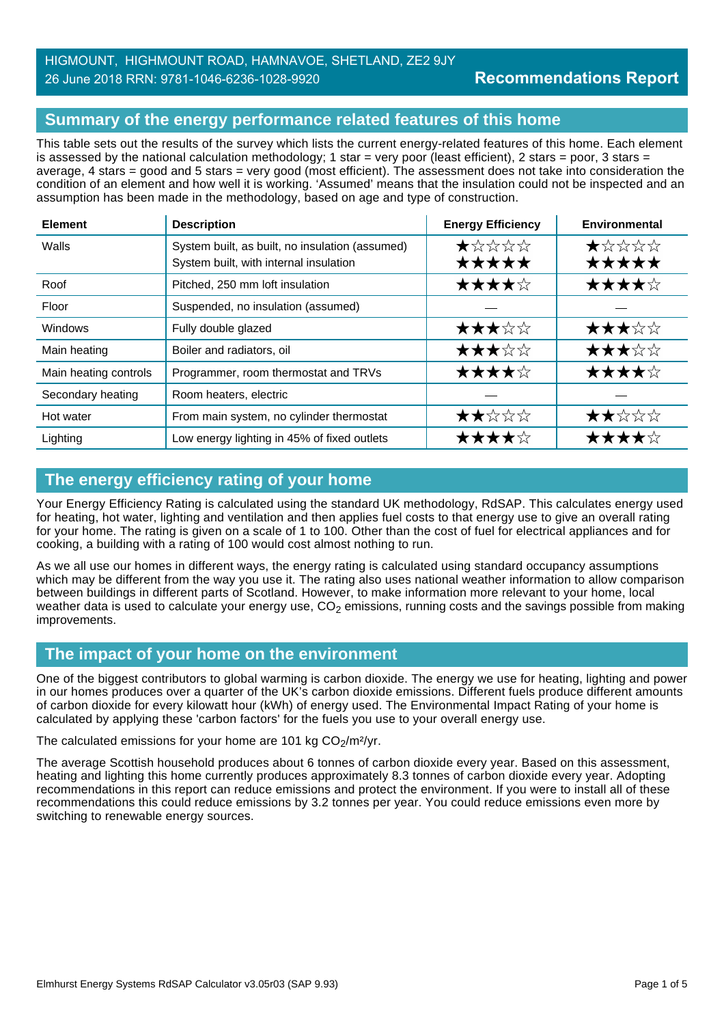# HIGMOUNT, HIGHMOUNT ROAD, HAMNAVOE, SHETLAND, ZE2 9JY 26 June 2018 RRN: 9781-1046-6236-1028-9920

# **Summary of the energy performance related features of this home**

This table sets out the results of the survey which lists the current energy-related features of this home. Each element is assessed by the national calculation methodology; 1 star = very poor (least efficient), 2 stars = poor, 3 stars = average, 4 stars = good and 5 stars = very good (most efficient). The assessment does not take into consideration the condition of an element and how well it is working. 'Assumed' means that the insulation could not be inspected and an assumption has been made in the methodology, based on age and type of construction.

| <b>Element</b>                              | <b>Energy Efficiency</b><br><b>Description</b>                                            |                | Environmental  |  |
|---------------------------------------------|-------------------------------------------------------------------------------------------|----------------|----------------|--|
| Walls                                       | System built, as built, no insulation (assumed)<br>System built, with internal insulation | ★☆☆☆☆<br>***** | ★☆☆☆☆<br>***** |  |
| Roof                                        | Pitched, 250 mm loft insulation                                                           | ★★★★☆          | ★★★★☆          |  |
| Floor                                       | Suspended, no insulation (assumed)                                                        |                |                |  |
| Windows                                     | Fully double glazed                                                                       | ★★★☆☆          | ★★★☆☆          |  |
| Main heating                                | Boiler and radiators, oil                                                                 | ★★★☆☆          | ★★★☆☆          |  |
| Main heating controls                       | Programmer, room thermostat and TRVs                                                      | ★★★★☆          | ★★★★☆          |  |
| Secondary heating<br>Room heaters, electric |                                                                                           |                |                |  |
| Hot water                                   | From main system, no cylinder thermostat                                                  | ★★☆☆☆          | ★★☆☆☆          |  |
| Lighting                                    | Low energy lighting in 45% of fixed outlets                                               | ★★★★☆          | ★★★★☆          |  |

# **The energy efficiency rating of your home**

Your Energy Efficiency Rating is calculated using the standard UK methodology, RdSAP. This calculates energy used for heating, hot water, lighting and ventilation and then applies fuel costs to that energy use to give an overall rating for your home. The rating is given on a scale of 1 to 100. Other than the cost of fuel for electrical appliances and for cooking, a building with a rating of 100 would cost almost nothing to run.

As we all use our homes in different ways, the energy rating is calculated using standard occupancy assumptions which may be different from the way you use it. The rating also uses national weather information to allow comparison between buildings in different parts of Scotland. However, to make information more relevant to your home, local weather data is used to calculate your energy use,  $CO<sub>2</sub>$  emissions, running costs and the savings possible from making improvements.

# **The impact of your home on the environment**

One of the biggest contributors to global warming is carbon dioxide. The energy we use for heating, lighting and power in our homes produces over a quarter of the UK's carbon dioxide emissions. Different fuels produce different amounts of carbon dioxide for every kilowatt hour (kWh) of energy used. The Environmental Impact Rating of your home is calculated by applying these 'carbon factors' for the fuels you use to your overall energy use.

#### The calculated emissions for your home are 101 kg  $CO<sub>2</sub>/m<sup>2</sup>/yr$ .

The average Scottish household produces about 6 tonnes of carbon dioxide every year. Based on this assessment, heating and lighting this home currently produces approximately 8.3 tonnes of carbon dioxide every year. Adopting recommendations in this report can reduce emissions and protect the environment. If you were to install all of these recommendations this could reduce emissions by 3.2 tonnes per year. You could reduce emissions even more by switching to renewable energy sources.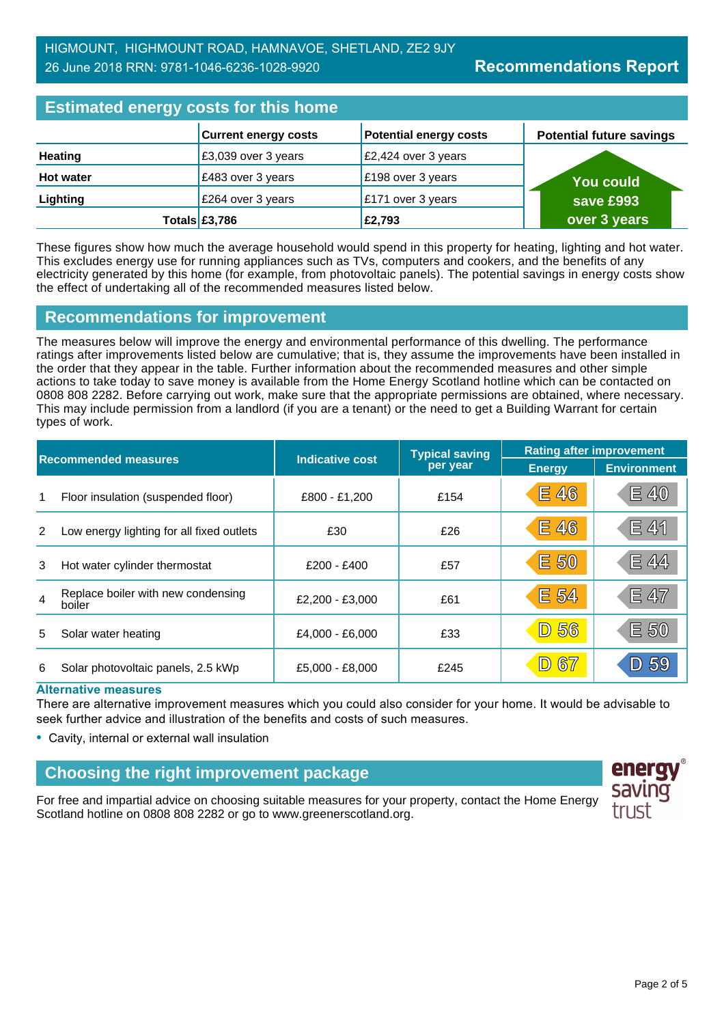**Potential future savings**

| <b>Estimated energy costs for this home</b> |                             |                               |  |                             |
|---------------------------------------------|-----------------------------|-------------------------------|--|-----------------------------|
|                                             | <b>Current energy costs</b> | <b>Potential energy costs</b> |  | <b>Potential future sav</b> |
| <b>Heating</b>                              | £3,039 over 3 years         | £2,424 over 3 years           |  |                             |
| <b>Hot water</b>                            | £483 over 3 years           | £198 over 3 years             |  | <b>You could</b>            |
| Lighting                                    | £264 over 3 years           | £171 over 3 years             |  | save £993                   |
|                                             | Totals £3,786               | £2,793                        |  | over 3 years                |

These figures show how much the average household would spend in this property for heating, lighting and hot water. This excludes energy use for running appliances such as TVs, computers and cookers, and the benefits of any electricity generated by this home (for example, from photovoltaic panels). The potential savings in energy costs show the effect of undertaking all of the recommended measures listed below.

# **Recommendations for improvement**

The measures below will improve the energy and environmental performance of this dwelling. The performance ratings after improvements listed below are cumulative; that is, they assume the improvements have been installed in the order that they appear in the table. Further information about the recommended measures and other simple actions to take today to save money is available from the Home Energy Scotland hotline which can be contacted on 0808 808 2282. Before carrying out work, make sure that the appropriate permissions are obtained, where necessary. This may include permission from a landlord (if you are a tenant) or the need to get a Building Warrant for certain types of work.

| <b>Recommended measures</b> |                                              |                 | <b>Typical saving</b> | <b>Rating after improvement</b> |                    |  |
|-----------------------------|----------------------------------------------|-----------------|-----------------------|---------------------------------|--------------------|--|
|                             |                                              | Indicative cost | per year              | <b>Energy</b>                   | <b>Environment</b> |  |
| 1                           | Floor insulation (suspended floor)           | £800 - £1,200   | £154                  | <b>E 46</b>                     | <b>E 40</b>        |  |
| 2                           | Low energy lighting for all fixed outlets    | £30             | £26                   | E 46                            | <b>E 41</b>        |  |
| 3                           | Hot water cylinder thermostat                | $£200 - £400$   | £57                   | E 50                            | E 44               |  |
| $\overline{4}$              | Replace boiler with new condensing<br>boiler | £2.200 - £3.000 | £61                   | E 54                            | E 47               |  |
| 5                           | Solar water heating                          | £4,000 - £6,000 | £33                   | 56<br>$\boxed{\mathsf{D}}$      | E 50               |  |
| 6                           | Solar photovoltaic panels, 2.5 kWp           | £5,000 - £8,000 | £245                  | 67<br>$\boxed{\mathsf{D}}$      | 59                 |  |

#### **Alternative measures**

There are alternative improvement measures which you could also consider for your home. It would be advisable to seek further advice and illustration of the benefits and costs of such measures.

• Cavity, internal or external wall insulation

# **Choosing the right improvement package**

For free and impartial advice on choosing suitable measures for your property, contact the Home Energy Scotland hotline on 0808 808 2282 or go to www.greenerscotland.org.

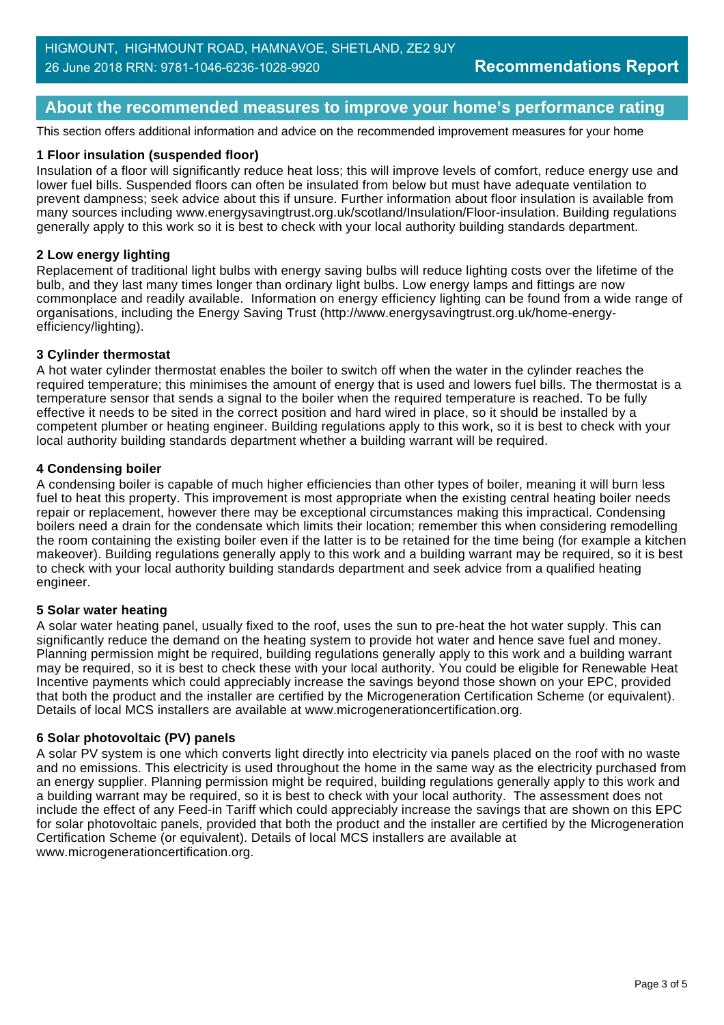## **About the recommended measures to improve your home's performance rating**

This section offers additional information and advice on the recommended improvement measures for your home

#### **1 Floor insulation (suspended floor)**

Insulation of a floor will significantly reduce heat loss; this will improve levels of comfort, reduce energy use and lower fuel bills. Suspended floors can often be insulated from below but must have adequate ventilation to prevent dampness; seek advice about this if unsure. Further information about floor insulation is available from many sources including www.energysavingtrust.org.uk/scotland/Insulation/Floor-insulation. Building regulations generally apply to this work so it is best to check with your local authority building standards department.

#### **2 Low energy lighting**

Replacement of traditional light bulbs with energy saving bulbs will reduce lighting costs over the lifetime of the bulb, and they last many times longer than ordinary light bulbs. Low energy lamps and fittings are now commonplace and readily available. Information on energy efficiency lighting can be found from a wide range of organisations, including the Energy Saving Trust (http://www.energysavingtrust.org.uk/home-energyefficiency/lighting).

#### **3 Cylinder thermostat**

A hot water cylinder thermostat enables the boiler to switch off when the water in the cylinder reaches the required temperature; this minimises the amount of energy that is used and lowers fuel bills. The thermostat is a temperature sensor that sends a signal to the boiler when the required temperature is reached. To be fully effective it needs to be sited in the correct position and hard wired in place, so it should be installed by a competent plumber or heating engineer. Building regulations apply to this work, so it is best to check with your local authority building standards department whether a building warrant will be required.

#### **4 Condensing boiler**

A condensing boiler is capable of much higher efficiencies than other types of boiler, meaning it will burn less fuel to heat this property. This improvement is most appropriate when the existing central heating boiler needs repair or replacement, however there may be exceptional circumstances making this impractical. Condensing boilers need a drain for the condensate which limits their location; remember this when considering remodelling the room containing the existing boiler even if the latter is to be retained for the time being (for example a kitchen makeover). Building regulations generally apply to this work and a building warrant may be required, so it is best to check with your local authority building standards department and seek advice from a qualified heating engineer.

#### **5 Solar water heating**

A solar water heating panel, usually fixed to the roof, uses the sun to pre-heat the hot water supply. This can significantly reduce the demand on the heating system to provide hot water and hence save fuel and money. Planning permission might be required, building regulations generally apply to this work and a building warrant may be required, so it is best to check these with your local authority. You could be eligible for Renewable Heat Incentive payments which could appreciably increase the savings beyond those shown on your EPC, provided that both the product and the installer are certified by the Microgeneration Certification Scheme (or equivalent). Details of local MCS installers are available at www.microgenerationcertification.org.

#### **6 Solar photovoltaic (PV) panels**

A solar PV system is one which converts light directly into electricity via panels placed on the roof with no waste and no emissions. This electricity is used throughout the home in the same way as the electricity purchased from an energy supplier. Planning permission might be required, building regulations generally apply to this work and a building warrant may be required, so it is best to check with your local authority. The assessment does not include the effect of any Feed-in Tariff which could appreciably increase the savings that are shown on this EPC for solar photovoltaic panels, provided that both the product and the installer are certified by the Microgeneration Certification Scheme (or equivalent). Details of local MCS installers are available at www.microgenerationcertification.org.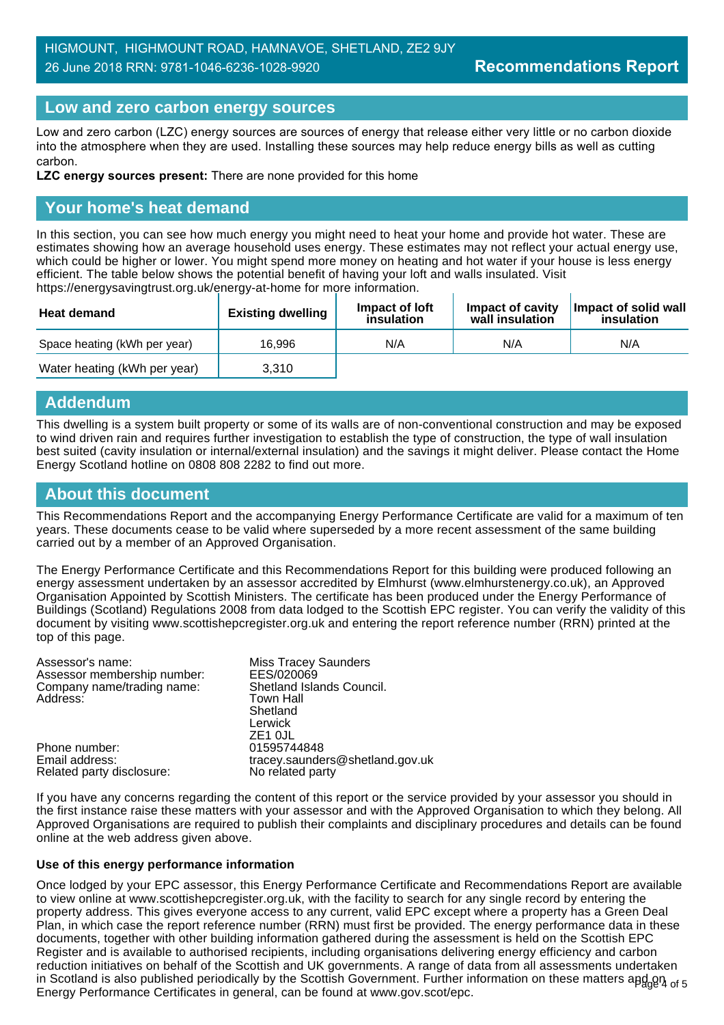## HIGMOUNT, HIGHMOUNT ROAD, HAMNAVOE, SHETLAND, ZE2 9JY 26 June 2018 RRN: 9781-1046-6236-1028-9920

#### **Low and zero carbon energy sources**

Low and zero carbon (LZC) energy sources are sources of energy that release either very little or no carbon dioxide into the atmosphere when they are used. Installing these sources may help reduce energy bills as well as cutting carbon.

**LZC energy sources present:** There are none provided for this home

## **Your home's heat demand**

In this section, you can see how much energy you might need to heat your home and provide hot water. These are estimates showing how an average household uses energy. These estimates may not reflect your actual energy use, which could be higher or lower. You might spend more money on heating and hot water if your house is less energy efficient. The table below shows the potential benefit of having your loft and walls insulated. Visit https://energysavingtrust.org.uk/energy-at-home for more information.

| <b>Heat demand</b>           | <b>Existing dwelling</b> | Impact of loft<br>insulation | Impact of cavity<br>wall insulation | Impact of solid wall<br>insulation |
|------------------------------|--------------------------|------------------------------|-------------------------------------|------------------------------------|
| Space heating (kWh per year) | 16.996                   | N/A                          | N/A                                 | N/A                                |
| Water heating (kWh per year) | 3.310                    |                              |                                     |                                    |

#### **Addendum**

This dwelling is a system built property or some of its walls are of non-conventional construction and may be exposed to wind driven rain and requires further investigation to establish the type of construction, the type of wall insulation best suited (cavity insulation or internal/external insulation) and the savings it might deliver. Please contact the Home Energy Scotland hotline on 0808 808 2282 to find out more.

# **About this document**

This Recommendations Report and the accompanying Energy Performance Certificate are valid for a maximum of ten years. These documents cease to be valid where superseded by a more recent assessment of the same building carried out by a member of an Approved Organisation.

The Energy Performance Certificate and this Recommendations Report for this building were produced following an energy assessment undertaken by an assessor accredited by Elmhurst (www.elmhurstenergy.co.uk), an Approved Organisation Appointed by Scottish Ministers. The certificate has been produced under the Energy Performance of Buildings (Scotland) Regulations 2008 from data lodged to the Scottish EPC register. You can verify the validity of this document by visiting www.scottishepcregister.org.uk and entering the report reference number (RRN) printed at the top of this page.

| Assessor's name:            | <b>Miss Tracey Saunders</b>     |
|-----------------------------|---------------------------------|
| Assessor membership number: | EES/020069                      |
| Company name/trading name:  | Shetland Islands Council.       |
| Address:                    | Town Hall                       |
|                             | Shetland                        |
|                             | Lerwick                         |
|                             | ZE <sub>1</sub> OJL             |
| Phone number:               | 01595744848                     |
| Email address:              | tracey.saunders@shetland.gov.uk |
| Related party disclosure:   | No related party                |

If you have any concerns regarding the content of this report or the service provided by your assessor you should in the first instance raise these matters with your assessor and with the Approved Organisation to which they belong. All Approved Organisations are required to publish their complaints and disciplinary procedures and details can be found online at the web address given above.

#### **Use of this energy performance information**

in Scotland is also published periodically by the Scottish Government. Further information on these matters apd<sub>ge</sub>n<sub>4 of 5</sub> Once lodged by your EPC assessor, this Energy Performance Certificate and Recommendations Report are available to view online at www.scottishepcregister.org.uk, with the facility to search for any single record by entering the property address. This gives everyone access to any current, valid EPC except where a property has a Green Deal Plan, in which case the report reference number (RRN) must first be provided. The energy performance data in these documents, together with other building information gathered during the assessment is held on the Scottish EPC Register and is available to authorised recipients, including organisations delivering energy efficiency and carbon reduction initiatives on behalf of the Scottish and UK governments. A range of data from all assessments undertaken Energy Performance Certificates in general, can be found at www.gov.scot/epc.